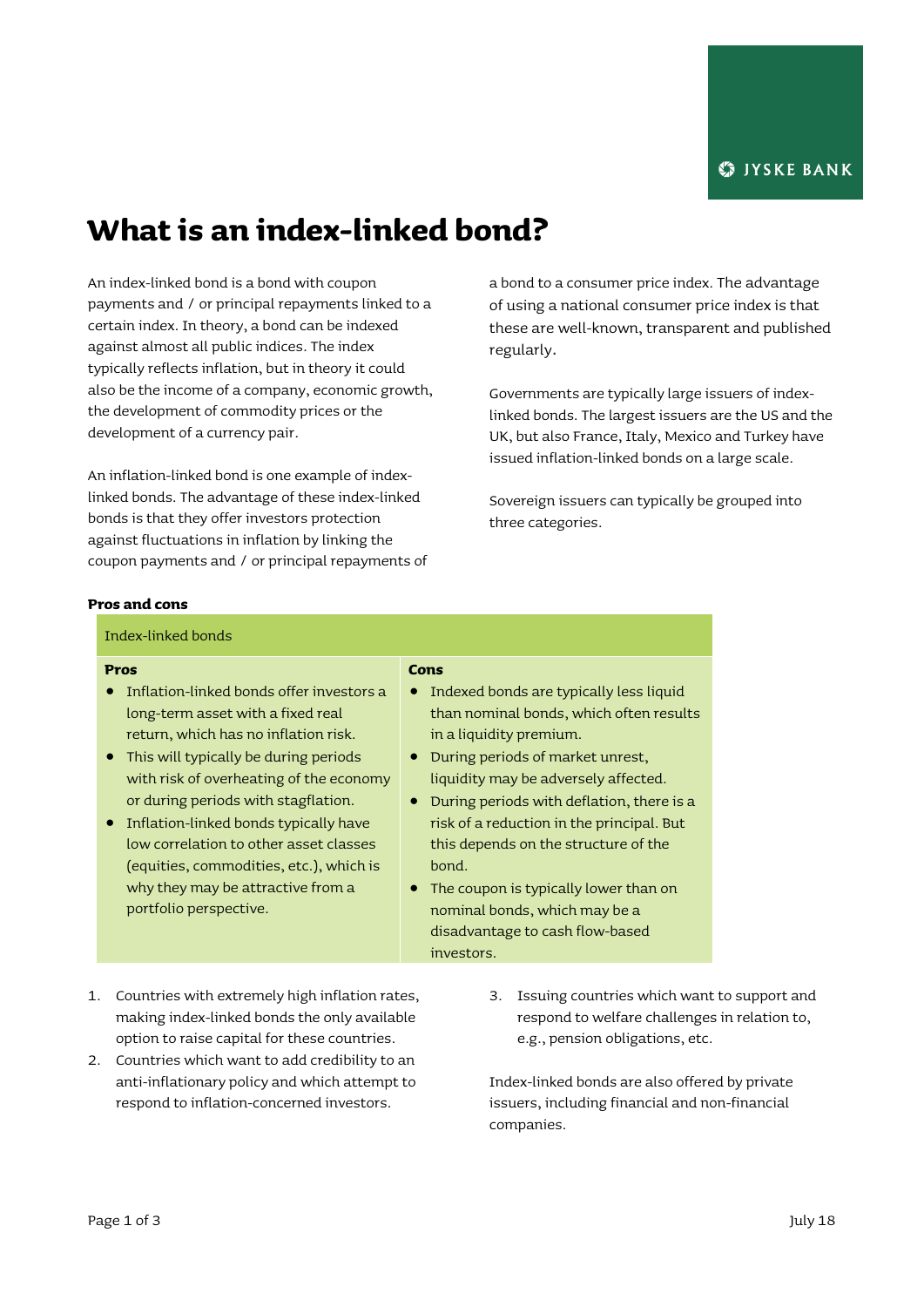# **What is an index-linked bond?**

An index-linked bond is a bond with coupon payments and / or principal repayments linked to a certain index. In theory, a bond can be indexed against almost all public indices. The index typically reflects inflation, but in theory it could also be the income of a company, economic growth, the development of commodity prices or the development of a currency pair.

An inflation-linked bond is one example of indexlinked bonds. The advantage of these index-linked bonds is that they offer investors protection against fluctuations in inflation by linking the coupon payments and / or principal repayments of a bond to a consumer price index. The advantage of using a national consumer price index is that these are well-known, transparent and published regularly.

Governments are typically large issuers of indexlinked bonds. The largest issuers are the US and the UK, but also France, Italy, Mexico and Turkey have issued inflation-linked bonds on a large scale.

Sovereign issuers can typically be grouped into three categories.

#### **Pros and cons**

Index-linked bonds

#### **Pros**

- **•** Inflation-linked bonds offer investors a long-term asset with a fixed real return, which has no inflation risk.
- This will typically be during periods with risk of overheating of the economy or during periods with stagflation.
- Inflation-linked bonds typically have low correlation to other asset classes (equities, commodities, etc.), which is why they may be attractive from a portfolio perspective.

#### **Cons**

- Indexed bonds are typically less liquid than nominal bonds, which often results in a liquidity premium.
- During periods of market unrest, liquidity may be adversely affected.
- During periods with deflation, there is a risk of a reduction in the principal. But this depends on the structure of the bond.
- The coupon is typically lower than on nominal bonds, which may be a disadvantage to cash flow-based investors.
- 1. Countries with extremely high inflation rates, making index-linked bonds the only available option to raise capital for these countries.
- 2. Countries which want to add credibility to an anti-inflationary policy and which attempt to respond to inflation-concerned investors.
- 3. Issuing countries which want to support and respond to welfare challenges in relation to, e.g., pension obligations, etc.

Index-linked bonds are also offered by private issuers, including financial and non-financial companies.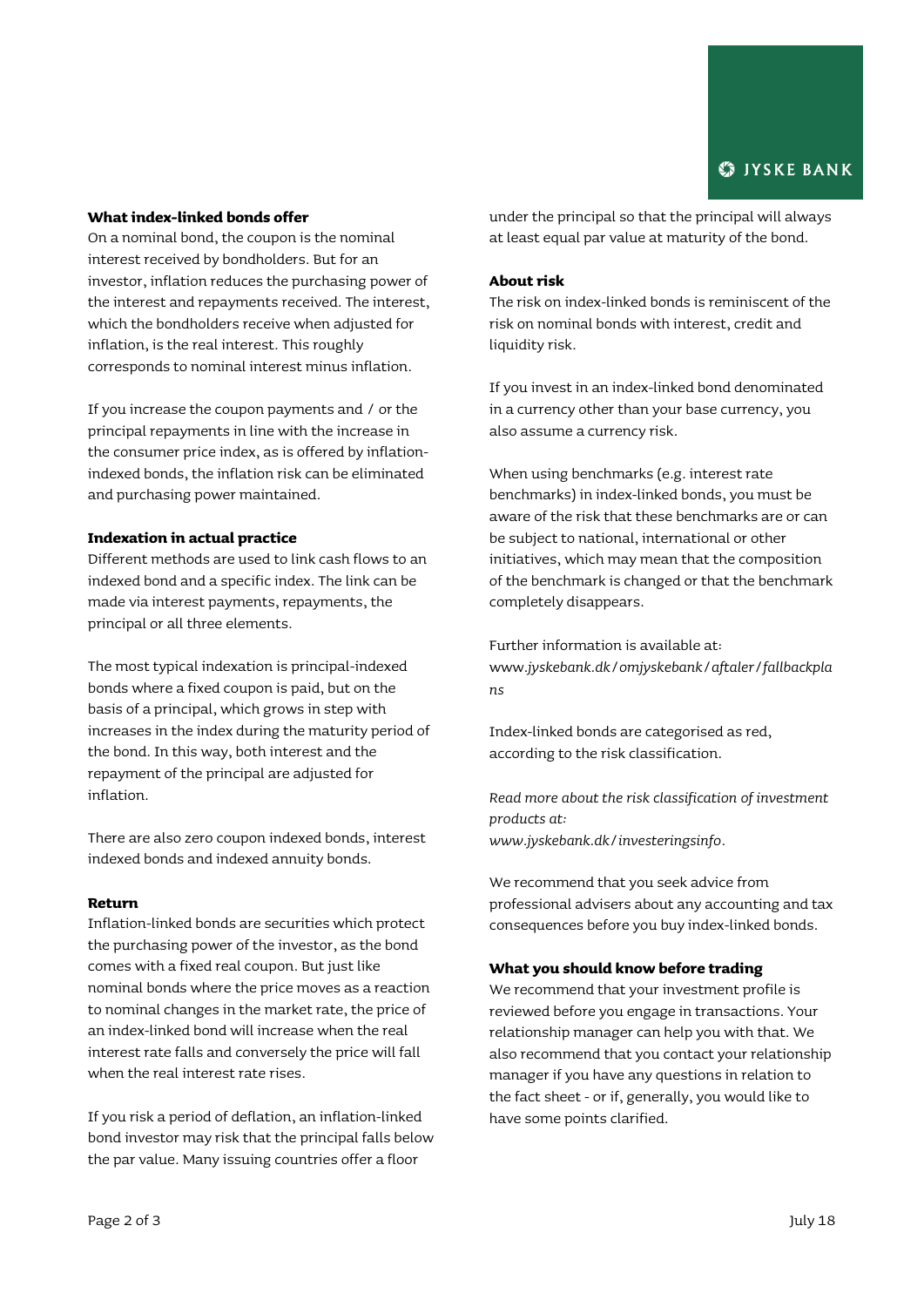# **What index-linked bonds offer**

On a nominal bond, the coupon is the nominal interest received by bondholders. But for an investor, inflation reduces the purchasing power of the interest and repayments received. The interest, which the bondholders receive when adjusted for inflation, is the real interest. This roughly corresponds to nominal interest minus inflation.

If you increase the coupon payments and / or the principal repayments in line with the increase in the consumer price index, as is offered by inflationindexed bonds, the inflation risk can be eliminated and purchasing power maintained.

### **Indexation in actual practice**

Different methods are used to link cash flows to an indexed bond and a specific index. The link can be made via interest payments, repayments, the principal or all three elements.

The most typical indexation is principal-indexed bonds where a fixed coupon is paid, but on the basis of a principal, which grows in step with increases in the index during the maturity period of the bond. In this way, both interest and the repayment of the principal are adjusted for inflation.

There are also zero coupon indexed bonds, interest indexed bonds and indexed annuity bonds.

#### **Return**

Inflation-linked bonds are securities which protect the purchasing power of the investor, as the bond comes with a fixed real coupon. But just like nominal bonds where the price moves as a reaction to nominal changes in the market rate, the price of an index-linked bond will increase when the real interest rate falls and conversely the price will fall when the real interest rate rises.

If you risk a period of deflation, an inflation-linked bond investor may risk that the principal falls below the par value. Many issuing countries offer a floor

under the principal so that the principal will always at least equal par value at maturity of the bond.

## **About risk**

The risk on index-linked bonds is reminiscent of the risk on nominal bonds with interest, credit and liquidity risk.

If you invest in an index-linked bond denominated in a currency other than your base currency, you also assume a currency risk.

When using benchmarks (e.g. interest rate benchmarks) in index-linked bonds, you must be aware of the risk that these benchmarks are or can be subject to national, international or other initiatives, which may mean that the composition of the benchmark is changed or that the benchmark completely disappears.

Further information is available at: www.*[jyskebank.dk/omjyskebank/aftaler/fallbackpla](http://www.jyskebank.dk/omjyskebank/aftaler/fallbackplans) [ns](http://www.jyskebank.dk/omjyskebank/aftaler/fallbackplans)*

Index-linked bonds are categorised as red, according to the risk classification.

*Read more about the risk classification of investment products at: www.jyskebank.dk/investeringsinfo.*

We recommend that you seek advice from professional advisers about any accounting and tax consequences before you buy index-linked bonds.

# **What you should know before trading**

We recommend that your investment profile is reviewed before you engage in transactions. Your relationship manager can help you with that. We also recommend that you contact your relationship manager if you have any questions in relation to the fact sheet - or if, generally, you would like to have some points clarified.